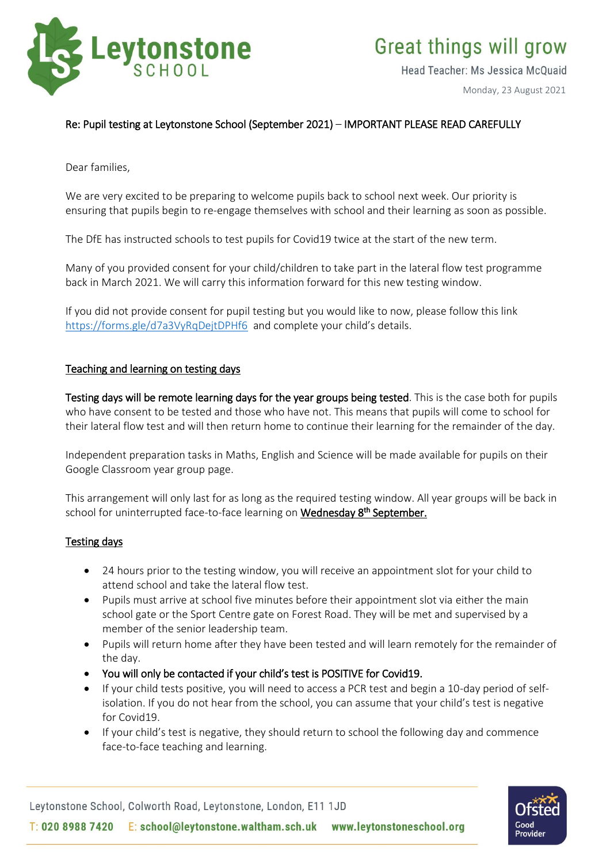

Head Teacher: Ms Jessica McQuaid

Monday, 23 August 2021

# Re: Pupil testing at Leytonstone School (September 2021) – IMPORTANT PLEASE READ CAREFULLY

Dear families,

We are very excited to be preparing to welcome pupils back to school next week. Our priority is ensuring that pupils begin to re-engage themselves with school and their learning as soon as possible.

The DfE has instructed schools to test pupils for Covid19 twice at the start of the new term.

Many of you provided consent for your child/children to take part in the lateral flow test programme back in March 2021. We will carry this information forward for this new testing window.

If you did not provide consent for pupil testing but you would like to now, please follow this link <https://forms.gle/d7a3VyRqDejtDPHf6> and complete your child's details.

#### Teaching and learning on testing days

Testing days will be remote learning days for the year groups being tested. This is the case both for pupils who have consent to be tested and those who have not. This means that pupils will come to school for their lateral flow test and will then return home to continue their learning for the remainder of the day.

Independent preparation tasks in Maths, English and Science will be made available for pupils on their Google Classroom year group page.

This arrangement will only last for as long as the required testing window. All year groups will be back in school for uninterrupted face-to-face learning on <mark>Wednesday 8<sup>th</sup> September.</mark>

## Testing days

- 24 hours prior to the testing window, you will receive an appointment slot for your child to attend school and take the lateral flow test.
- Pupils must arrive at school five minutes before their appointment slot via either the main school gate or the Sport Centre gate on Forest Road. They will be met and supervised by a member of the senior leadership team.
- Pupils will return home after they have been tested and will learn remotely for the remainder of the day.
- You will only be contacted if your child's test is POSITIVE for Covid19.
- If your child tests positive, you will need to access a PCR test and begin a 10-day period of selfisolation. If you do not hear from the school, you can assume that your child's test is negative for Covid19.
- If your child's test is negative, they should return to school the following day and commence face-to-face teaching and learning.

Leytonstone School, Colworth Road, Leytonstone, London, E11 1JD